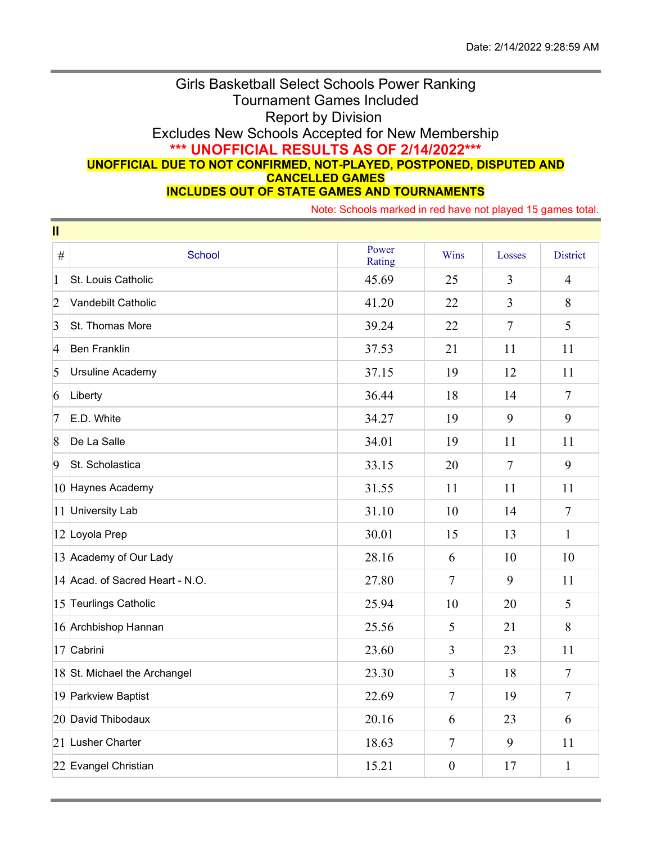## Girls Basketball Select Schools Power Ranking Tournament Games Included Report by Division Excludes New Schools Accepted for New Membership **\*\*\* UNOFFICIAL RESULTS AS OF 2/14/2022\*\*\* UNOFFICIAL DUE TO NOT CONFIRMED, NOT-PLAYED, POSTPONED, DISPUTED AND CANCELLED GAMES INCLUDES OUT OF STATE GAMES AND TOURNAMENTS**

Note: Schools marked in red have not played 15 games total.

| $\mathbf{II}$  |                                 |                 |                |                |                 |  |  |  |  |
|----------------|---------------------------------|-----------------|----------------|----------------|-----------------|--|--|--|--|
| $\#$           | <b>School</b>                   | Power<br>Rating | Wins           | Losses         | <b>District</b> |  |  |  |  |
| $\mathbf{1}$   | St. Louis Catholic              | 45.69           | 25             | 3              | $\overline{4}$  |  |  |  |  |
| $\overline{2}$ | Vandebilt Catholic              | 41.20           | 22             | $\overline{3}$ | 8               |  |  |  |  |
| $\overline{3}$ | St. Thomas More                 | 39.24           | 22             | $\overline{7}$ | 5               |  |  |  |  |
| $\overline{4}$ | <b>Ben Franklin</b>             | 37.53           | 21             | 11             | 11              |  |  |  |  |
| 5              | Ursuline Academy                | 37.15           | 19             | 12             | 11              |  |  |  |  |
| 6              | Liberty                         | 36.44           | 18             | 14             | $\tau$          |  |  |  |  |
| 7              | E.D. White                      | 34.27           | 19             | 9              | 9               |  |  |  |  |
| $\sqrt{8}$     | De La Salle                     | 34.01           | 19             | 11             | 11              |  |  |  |  |
| $\overline{9}$ | St. Scholastica                 | 33.15           | 20             | $\overline{7}$ | 9               |  |  |  |  |
|                | 10 Haynes Academy               | 31.55           | 11             | 11             | 11              |  |  |  |  |
|                | 11 University Lab               | 31.10           | 10             | 14             | $\overline{7}$  |  |  |  |  |
|                | 12 Loyola Prep                  | 30.01           | 15             | 13             | $\mathbf{1}$    |  |  |  |  |
|                | 13 Academy of Our Lady          | 28.16           | 6              | 10             | 10              |  |  |  |  |
|                | 14 Acad. of Sacred Heart - N.O. | 27.80           | $\overline{7}$ | 9              | 11              |  |  |  |  |
|                | 15 Teurlings Catholic           | 25.94           | 10             | 20             | 5               |  |  |  |  |
|                | 16 Archbishop Hannan            | 25.56           | 5              | 21             | 8               |  |  |  |  |
|                | 17 Cabrini                      | 23.60           | $\overline{3}$ | 23             | 11              |  |  |  |  |
|                | 18 St. Michael the Archangel    | 23.30           | 3              | 18             | $\tau$          |  |  |  |  |
|                | 19 Parkview Baptist             | 22.69           | $\overline{7}$ | 19             | $\overline{7}$  |  |  |  |  |
|                | 20 David Thibodaux              | 20.16           | 6              | 23             | 6               |  |  |  |  |
|                | 21 Lusher Charter               | 18.63           | $\overline{7}$ | 9              | 11              |  |  |  |  |
|                | 22 Evangel Christian            | 15.21           | $\mathbf{0}$   | 17             | $\mathbf{1}$    |  |  |  |  |